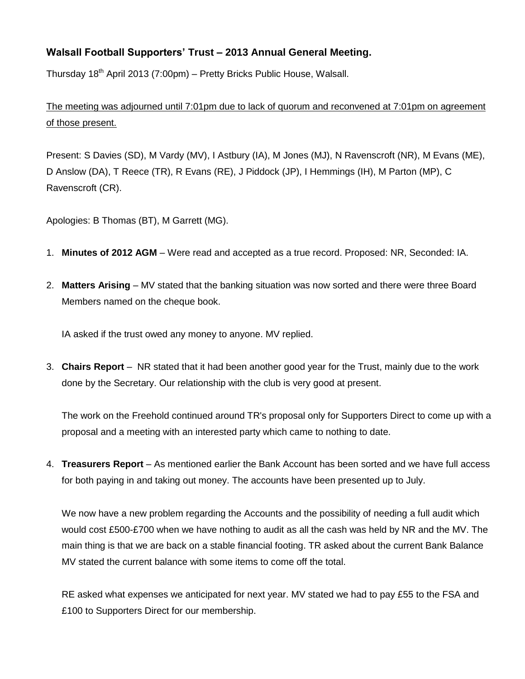## **Walsall Football Supporters' Trust – 2013 Annual General Meeting.**

Thursday 18<sup>th</sup> April 2013 (7:00pm) – Pretty Bricks Public House, Walsall.

The meeting was adjourned until 7:01pm due to lack of quorum and reconvened at 7:01pm on agreement of those present.

Present: S Davies (SD), M Vardy (MV), I Astbury (IA), M Jones (MJ), N Ravenscroft (NR), M Evans (ME), D Anslow (DA), T Reece (TR), R Evans (RE), J Piddock (JP), I Hemmings (IH), M Parton (MP), C Ravenscroft (CR).

Apologies: B Thomas (BT), M Garrett (MG).

- 1. **Minutes of 2012 AGM** Were read and accepted as a true record. Proposed: NR, Seconded: IA.
- 2. **Matters Arising** MV stated that the banking situation was now sorted and there were three Board Members named on the cheque book.

IA asked if the trust owed any money to anyone. MV replied.

3. **Chairs Report** – NR stated that it had been another good year for the Trust, mainly due to the work done by the Secretary. Our relationship with the club is very good at present.

The work on the Freehold continued around TR's proposal only for Supporters Direct to come up with a proposal and a meeting with an interested party which came to nothing to date.

4. **Treasurers Report** – As mentioned earlier the Bank Account has been sorted and we have full access for both paying in and taking out money. The accounts have been presented up to July.

We now have a new problem regarding the Accounts and the possibility of needing a full audit which would cost £500-£700 when we have nothing to audit as all the cash was held by NR and the MV. The main thing is that we are back on a stable financial footing. TR asked about the current Bank Balance MV stated the current balance with some items to come off the total.

RE asked what expenses we anticipated for next year. MV stated we had to pay £55 to the FSA and £100 to Supporters Direct for our membership.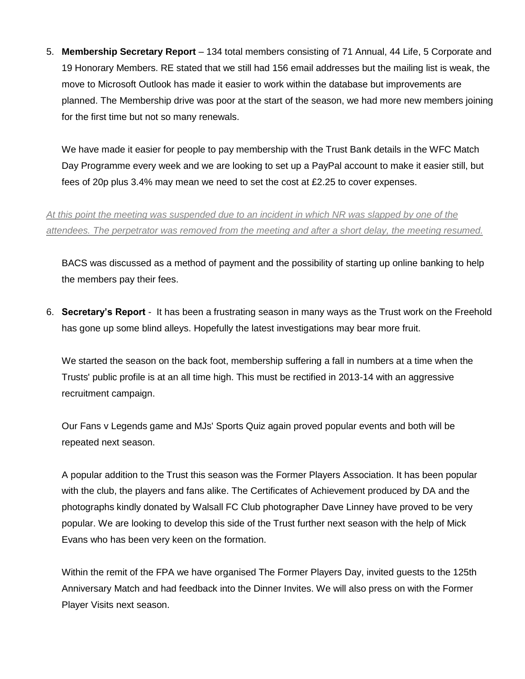5. **Membership Secretary Report** – 134 total members consisting of 71 Annual, 44 Life, 5 Corporate and 19 Honorary Members. RE stated that we still had 156 email addresses but the mailing list is weak, the move to Microsoft Outlook has made it easier to work within the database but improvements are planned. The Membership drive was poor at the start of the season, we had more new members joining for the first time but not so many renewals.

We have made it easier for people to pay membership with the Trust Bank details in the WFC Match Day Programme every week and we are looking to set up a PayPal account to make it easier still, but fees of 20p plus 3.4% may mean we need to set the cost at £2.25 to cover expenses.

*At this point the meeting was suspended due to an incident in which NR was slapped by one of the attendees. The perpetrator was removed from the meeting and after a short delay, the meeting resumed.*

BACS was discussed as a method of payment and the possibility of starting up online banking to help the members pay their fees.

6. **Secretary's Report** - It has been a frustrating season in many ways as the Trust work on the Freehold has gone up some blind alleys. Hopefully the latest investigations may bear more fruit.

We started the season on the back foot, membership suffering a fall in numbers at a time when the Trusts' public profile is at an all time high. This must be rectified in 2013-14 with an aggressive recruitment campaign.

Our Fans v Legends game and MJs' Sports Quiz again proved popular events and both will be repeated next season.

A popular addition to the Trust this season was the Former Players Association. It has been popular with the club, the players and fans alike. The Certificates of Achievement produced by DA and the photographs kindly donated by Walsall FC Club photographer Dave Linney have proved to be very popular. We are looking to develop this side of the Trust further next season with the help of Mick Evans who has been very keen on the formation.

Within the remit of the FPA we have organised The Former Players Day, invited guests to the 125th Anniversary Match and had feedback into the Dinner Invites. We will also press on with the Former Player Visits next season.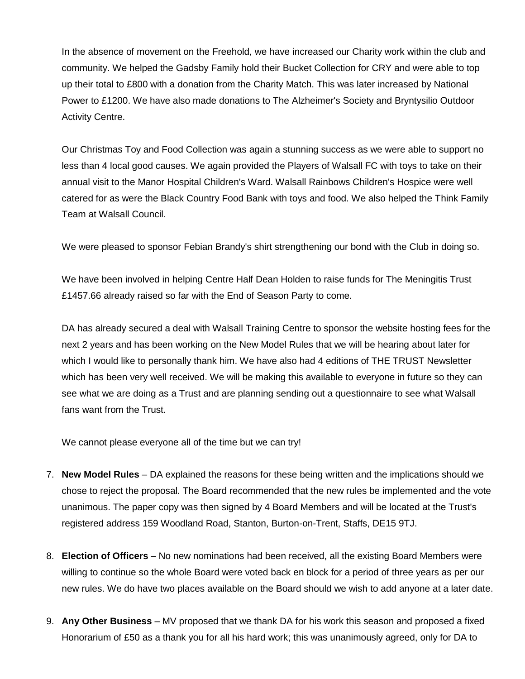In the absence of movement on the Freehold, we have increased our Charity work within the club and community. We helped the Gadsby Family hold their Bucket Collection for CRY and were able to top up their total to £800 with a donation from the Charity Match. This was later increased by National Power to £1200. We have also made donations to The Alzheimer's Society and Bryntysilio Outdoor Activity Centre.

Our Christmas Toy and Food Collection was again a stunning success as we were able to support no less than 4 local good causes. We again provided the Players of Walsall FC with toys to take on their annual visit to the Manor Hospital Children's Ward. Walsall Rainbows Children's Hospice were well catered for as were the Black Country Food Bank with toys and food. We also helped the Think Family Team at Walsall Council.

We were pleased to sponsor Febian Brandy's shirt strengthening our bond with the Club in doing so.

We have been involved in helping Centre Half Dean Holden to raise funds for The Meningitis Trust £1457.66 already raised so far with the End of Season Party to come.

DA has already secured a deal with Walsall Training Centre to sponsor the website hosting fees for the next 2 years and has been working on the New Model Rules that we will be hearing about later for which I would like to personally thank him. We have also had 4 editions of THE TRUST Newsletter which has been very well received. We will be making this available to everyone in future so they can see what we are doing as a Trust and are planning sending out a questionnaire to see what Walsall fans want from the Trust.

We cannot please everyone all of the time but we can try!

- 7. **New Model Rules** DA explained the reasons for these being written and the implications should we chose to reject the proposal. The Board recommended that the new rules be implemented and the vote unanimous. The paper copy was then signed by 4 Board Members and will be located at the Trust's registered address 159 Woodland Road, Stanton, Burton-on-Trent, Staffs, DE15 9TJ.
- 8. **Election of Officers** No new nominations had been received, all the existing Board Members were willing to continue so the whole Board were voted back en block for a period of three years as per our new rules. We do have two places available on the Board should we wish to add anyone at a later date.
- 9. **Any Other Business** MV proposed that we thank DA for his work this season and proposed a fixed Honorarium of £50 as a thank you for all his hard work; this was unanimously agreed, only for DA to